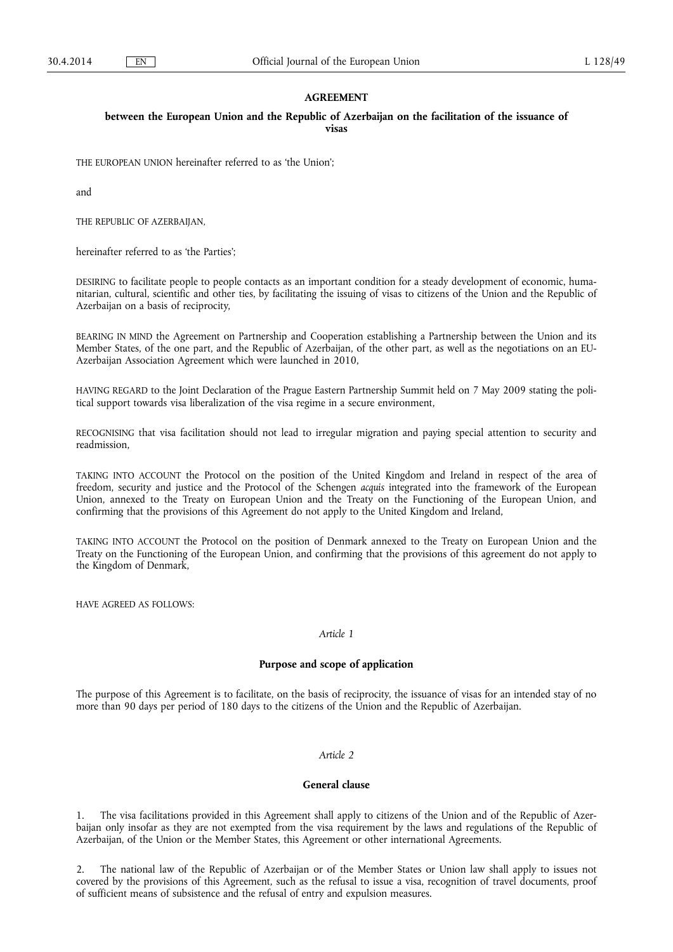### **AGREEMENT**

### **between the European Union and the Republic of Azerbaijan on the facilitation of the issuance of visas**

THE EUROPEAN UNION hereinafter referred to as 'the Union';

and

THE REPUBLIC OF AZERBAIJAN,

hereinafter referred to as 'the Parties';

DESIRING to facilitate people to people contacts as an important condition for a steady development of economic, humanitarian, cultural, scientific and other ties, by facilitating the issuing of visas to citizens of the Union and the Republic of Azerbaijan on a basis of reciprocity,

BEARING IN MIND the Agreement on Partnership and Cooperation establishing a Partnership between the Union and its Member States, of the one part, and the Republic of Azerbaijan, of the other part, as well as the negotiations on an EU-Azerbaijan Association Agreement which were launched in 2010,

HAVING REGARD to the Joint Declaration of the Prague Eastern Partnership Summit held on 7 May 2009 stating the political support towards visa liberalization of the visa regime in a secure environment,

RECOGNISING that visa facilitation should not lead to irregular migration and paying special attention to security and readmission,

TAKING INTO ACCOUNT the Protocol on the position of the United Kingdom and Ireland in respect of the area of freedom, security and justice and the Protocol of the Schengen *acquis* integrated into the framework of the European Union, annexed to the Treaty on European Union and the Treaty on the Functioning of the European Union, and confirming that the provisions of this Agreement do not apply to the United Kingdom and Ireland,

TAKING INTO ACCOUNT the Protocol on the position of Denmark annexed to the Treaty on European Union and the Treaty on the Functioning of the European Union, and confirming that the provisions of this agreement do not apply to the Kingdom of Denmark,

HAVE AGREED AS FOLLOWS:

#### *Article 1*

### **Purpose and scope of application**

The purpose of this Agreement is to facilitate, on the basis of reciprocity, the issuance of visas for an intended stay of no more than 90 days per period of 180 days to the citizens of the Union and the Republic of Azerbaijan.

### *Article 2*

# **General clause**

1. The visa facilitations provided in this Agreement shall apply to citizens of the Union and of the Republic of Azerbaijan only insofar as they are not exempted from the visa requirement by the laws and regulations of the Republic of Azerbaijan, of the Union or the Member States, this Agreement or other international Agreements.

2. The national law of the Republic of Azerbaijan or of the Member States or Union law shall apply to issues not covered by the provisions of this Agreement, such as the refusal to issue a visa, recognition of travel documents, proof of sufficient means of subsistence and the refusal of entry and expulsion measures.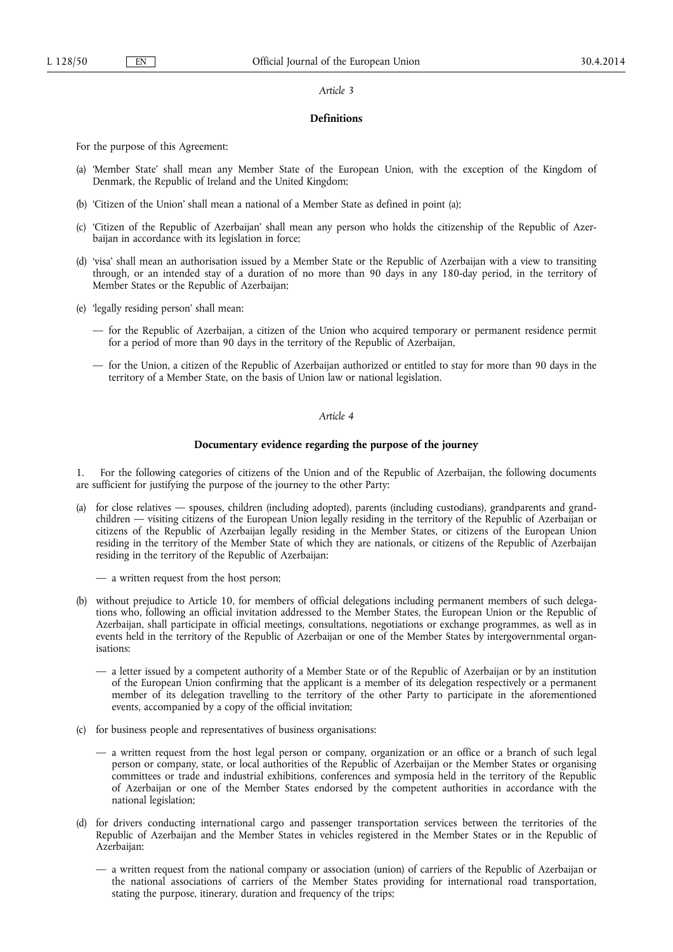#### *Article 3*

# **Definitions**

For the purpose of this Agreement:

- (a) 'Member State' shall mean any Member State of the European Union, with the exception of the Kingdom of Denmark, the Republic of Ireland and the United Kingdom;
- (b) 'Citizen of the Union' shall mean a national of a Member State as defined in point (a);
- (c) 'Citizen of the Republic of Azerbaijan' shall mean any person who holds the citizenship of the Republic of Azerbaijan in accordance with its legislation in force;
- (d) 'visa' shall mean an authorisation issued by a Member State or the Republic of Azerbaijan with a view to transiting through, or an intended stay of a duration of no more than 90 days in any 180-day period, in the territory of Member States or the Republic of Azerbaijan;
- (e) 'legally residing person' shall mean:
	- for the Republic of Azerbaijan, a citizen of the Union who acquired temporary or permanent residence permit for a period of more than 90 days in the territory of the Republic of Azerbaijan,
	- for the Union, a citizen of the Republic of Azerbaijan authorized or entitled to stay for more than 90 days in the territory of a Member State, on the basis of Union law or national legislation.

# *Article 4*

### **Documentary evidence regarding the purpose of the journey**

1. For the following categories of citizens of the Union and of the Republic of Azerbaijan, the following documents are sufficient for justifying the purpose of the journey to the other Party:

- (a) for close relatives spouses, children (including adopted), parents (including custodians), grandparents and grandchildren — visiting citizens of the European Union legally residing in the territory of the Republic of Azerbaijan or citizens of the Republic of Azerbaijan legally residing in the Member States, or citizens of the European Union residing in the territory of the Member State of which they are nationals, or citizens of the Republic of Azerbaijan residing in the territory of the Republic of Azerbaijan:
	- a written request from the host person;
- (b) without prejudice to Article 10, for members of official delegations including permanent members of such delegations who, following an official invitation addressed to the Member States, the European Union or the Republic of Azerbaijan, shall participate in official meetings, consultations, negotiations or exchange programmes, as well as in events held in the territory of the Republic of Azerbaijan or one of the Member States by intergovernmental organisations:
	- a letter issued by a competent authority of a Member State or of the Republic of Azerbaijan or by an institution of the European Union confirming that the applicant is a member of its delegation respectively or a permanent member of its delegation travelling to the territory of the other Party to participate in the aforementioned events, accompanied by a copy of the official invitation;
- (c) for business people and representatives of business organisations:
	- a written request from the host legal person or company, organization or an office or a branch of such legal person or company, state, or local authorities of the Republic of Azerbaijan or the Member States or organising committees or trade and industrial exhibitions, conferences and symposia held in the territory of the Republic of Azerbaijan or one of the Member States endorsed by the competent authorities in accordance with the national legislation;
- (d) for drivers conducting international cargo and passenger transportation services between the territories of the Republic of Azerbaijan and the Member States in vehicles registered in the Member States or in the Republic of Azerbaijan:
	- a written request from the national company or association (union) of carriers of the Republic of Azerbaijan or the national associations of carriers of the Member States providing for international road transportation, stating the purpose, itinerary, duration and frequency of the trips;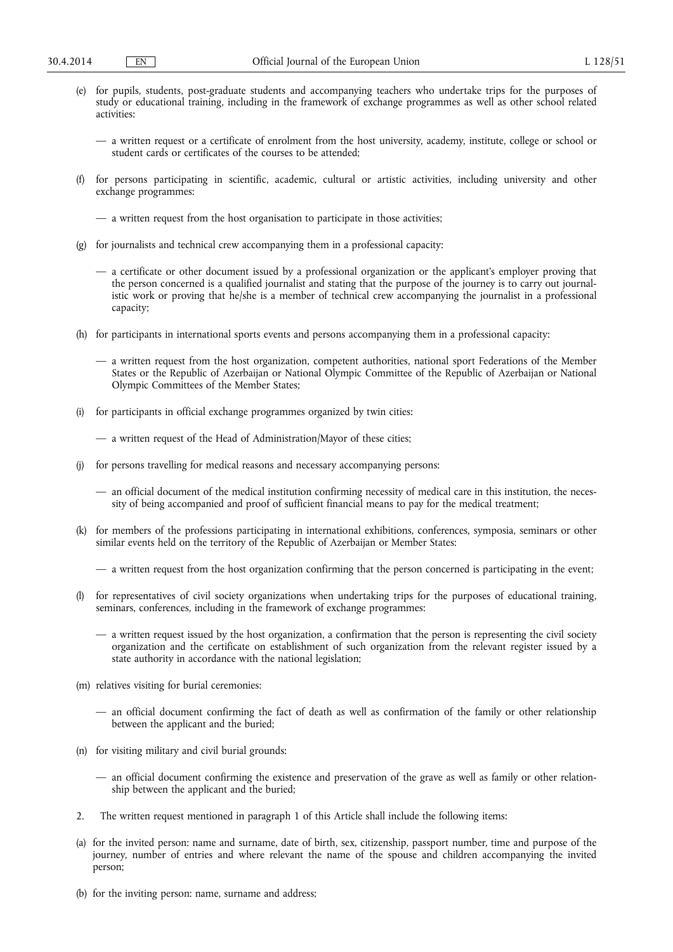- (e) for pupils, students, post-graduate students and accompanying teachers who undertake trips for the purposes of study or educational training, including in the framework of exchange programmes as well as other school related activities:
	- a written request or a certificate of enrolment from the host university, academy, institute, college or school or student cards or certificates of the courses to be attended;
- (f) for persons participating in scientific, academic, cultural or artistic activities, including university and other exchange programmes:
	- a written request from the host organisation to participate in those activities;
- (g) for journalists and technical crew accompanying them in a professional capacity:
	- a certificate or other document issued by a professional organization or the applicant's employer proving that the person concerned is a qualified journalist and stating that the purpose of the journey is to carry out journalistic work or proving that he/she is a member of technical crew accompanying the journalist in a professional capacity;
- (h) for participants in international sports events and persons accompanying them in a professional capacity:
	- a written request from the host organization, competent authorities, national sport Federations of the Member States or the Republic of Azerbaijan or National Olympic Committee of the Republic of Azerbaijan or National Olympic Committees of the Member States;
- (i) for participants in official exchange programmes organized by twin cities:
	- a written request of the Head of Administration/Mayor of these cities;
- for persons travelling for medical reasons and necessary accompanying persons:
	- an official document of the medical institution confirming necessity of medical care in this institution, the necessity of being accompanied and proof of sufficient financial means to pay for the medical treatment;
- (k) for members of the professions participating in international exhibitions, conferences, symposia, seminars or other similar events held on the territory of the Republic of Azerbaijan or Member States:
	- a written request from the host organization confirming that the person concerned is participating in the event;
- (l) for representatives of civil society organizations when undertaking trips for the purposes of educational training, seminars, conferences, including in the framework of exchange programmes:
	- a written request issued by the host organization, a confirmation that the person is representing the civil society organization and the certificate on establishment of such organization from the relevant register issued by a state authority in accordance with the national legislation;
- (m) relatives visiting for burial ceremonies:
	- an official document confirming the fact of death as well as confirmation of the family or other relationship between the applicant and the buried;
- (n) for visiting military and civil burial grounds:
	- an official document confirming the existence and preservation of the grave as well as family or other relationship between the applicant and the buried;
- 2. The written request mentioned in paragraph 1 of this Article shall include the following items:
- (a) for the invited person: name and surname, date of birth, sex, citizenship, passport number, time and purpose of the journey, number of entries and where relevant the name of the spouse and children accompanying the invited person;
- (b) for the inviting person: name, surname and address;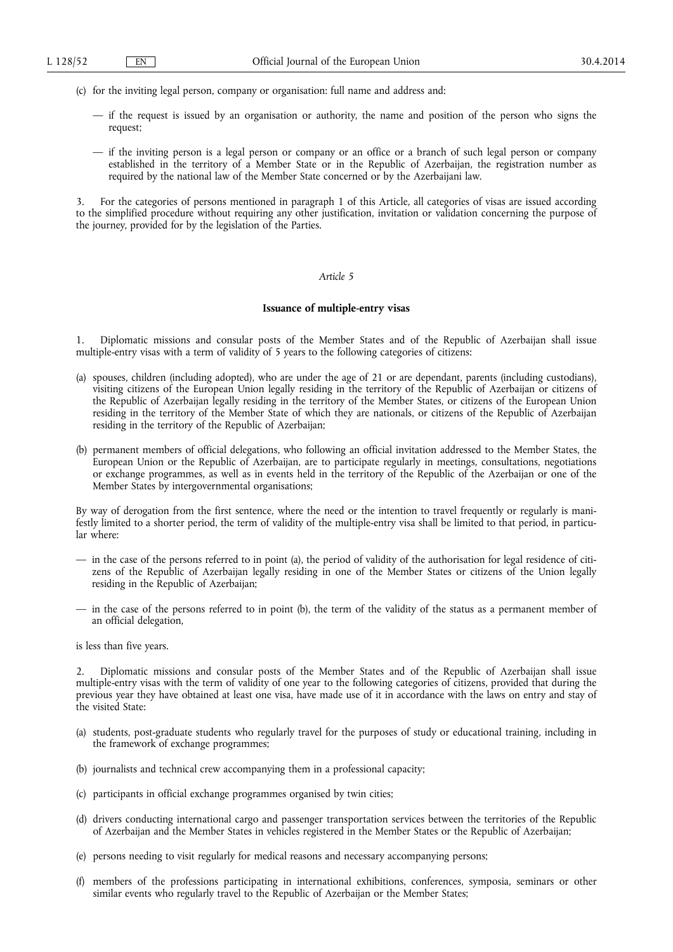- (c) for the inviting legal person, company or organisation: full name and address and:
	- if the request is issued by an organisation or authority, the name and position of the person who signs the request;
	- if the inviting person is a legal person or company or an office or a branch of such legal person or company established in the territory of a Member State or in the Republic of Azerbaijan, the registration number as required by the national law of the Member State concerned or by the Azerbaijani law.

3. For the categories of persons mentioned in paragraph 1 of this Article, all categories of visas are issued according to the simplified procedure without requiring any other justification, invitation or validation concerning the purpose of the journey, provided for by the legislation of the Parties.

## *Article 5*

### **Issuance of multiple-entry visas**

1. Diplomatic missions and consular posts of the Member States and of the Republic of Azerbaijan shall issue multiple-entry visas with a term of validity of 5 years to the following categories of citizens:

- (a) spouses, children (including adopted), who are under the age of 21 or are dependant, parents (including custodians), visiting citizens of the European Union legally residing in the territory of the Republic of Azerbaijan or citizens of the Republic of Azerbaijan legally residing in the territory of the Member States, or citizens of the European Union residing in the territory of the Member State of which they are nationals, or citizens of the Republic of Azerbaijan residing in the territory of the Republic of Azerbaijan;
- (b) permanent members of official delegations, who following an official invitation addressed to the Member States, the European Union or the Republic of Azerbaijan, are to participate regularly in meetings, consultations, negotiations or exchange programmes, as well as in events held in the territory of the Republic of the Azerbaijan or one of the Member States by intergovernmental organisations;

By way of derogation from the first sentence, where the need or the intention to travel frequently or regularly is manifestly limited to a shorter period, the term of validity of the multiple-entry visa shall be limited to that period, in particular where:

- in the case of the persons referred to in point (a), the period of validity of the authorisation for legal residence of citizens of the Republic of Azerbaijan legally residing in one of the Member States or citizens of the Union legally residing in the Republic of Azerbaijan;
- in the case of the persons referred to in point (b), the term of the validity of the status as a permanent member of an official delegation,
- is less than five years.

2. Diplomatic missions and consular posts of the Member States and of the Republic of Azerbaijan shall issue multiple-entry visas with the term of validity of one year to the following categories of citizens, provided that during the previous year they have obtained at least one visa, have made use of it in accordance with the laws on entry and stay of the visited State:

- (a) students, post-graduate students who regularly travel for the purposes of study or educational training, including in the framework of exchange programmes;
- (b) journalists and technical crew accompanying them in a professional capacity;
- (c) participants in official exchange programmes organised by twin cities;
- (d) drivers conducting international cargo and passenger transportation services between the territories of the Republic of Azerbaijan and the Member States in vehicles registered in the Member States or the Republic of Azerbaijan;
- (e) persons needing to visit regularly for medical reasons and necessary accompanying persons;
- (f) members of the professions participating in international exhibitions, conferences, symposia, seminars or other similar events who regularly travel to the Republic of Azerbaijan or the Member States;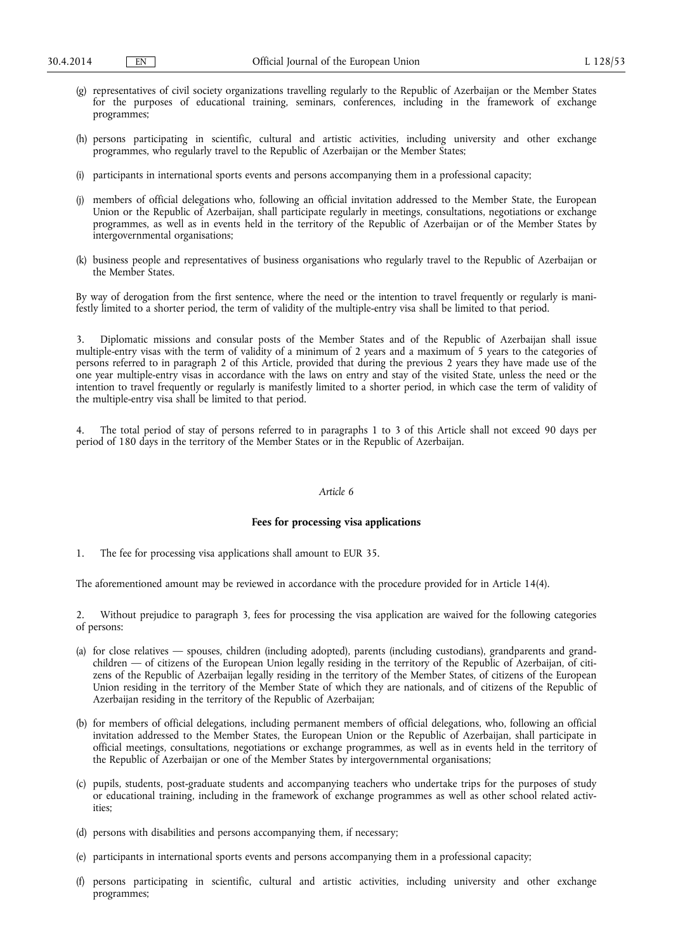- (g) representatives of civil society organizations travelling regularly to the Republic of Azerbaijan or the Member States for the purposes of educational training, seminars, conferences, including in the framework of exchange programmes;
- (h) persons participating in scientific, cultural and artistic activities, including university and other exchange programmes, who regularly travel to the Republic of Azerbaijan or the Member States;
- (i) participants in international sports events and persons accompanying them in a professional capacity;
- (j) members of official delegations who, following an official invitation addressed to the Member State, the European Union or the Republic of Azerbaijan, shall participate regularly in meetings, consultations, negotiations or exchange programmes, as well as in events held in the territory of the Republic of Azerbaijan or of the Member States by intergovernmental organisations;
- (k) business people and representatives of business organisations who regularly travel to the Republic of Azerbaijan or the Member States.

By way of derogation from the first sentence, where the need or the intention to travel frequently or regularly is manifestly limited to a shorter period, the term of validity of the multiple-entry visa shall be limited to that period.

3. Diplomatic missions and consular posts of the Member States and of the Republic of Azerbaijan shall issue multiple-entry visas with the term of validity of a minimum of 2 years and a maximum of 5 years to the categories of persons referred to in paragraph 2 of this Article, provided that during the previous 2 years they have made use of the one year multiple-entry visas in accordance with the laws on entry and stay of the visited State, unless the need or the intention to travel frequently or regularly is manifestly limited to a shorter period, in which case the term of validity of the multiple-entry visa shall be limited to that period.

4. The total period of stay of persons referred to in paragraphs 1 to 3 of this Article shall not exceed 90 days per period of 180 days in the territory of the Member States or in the Republic of Azerbaijan.

#### *Article 6*

#### **Fees for processing visa applications**

1. The fee for processing visa applications shall amount to EUR 35.

The aforementioned amount may be reviewed in accordance with the procedure provided for in Article 14(4).

2. Without prejudice to paragraph 3, fees for processing the visa application are waived for the following categories of persons:

- (a) for close relatives spouses, children (including adopted), parents (including custodians), grandparents and grandchildren — of citizens of the European Union legally residing in the territory of the Republic of Azerbaijan, of citizens of the Republic of Azerbaijan legally residing in the territory of the Member States, of citizens of the European Union residing in the territory of the Member State of which they are nationals, and of citizens of the Republic of Azerbaijan residing in the territory of the Republic of Azerbaijan;
- (b) for members of official delegations, including permanent members of official delegations, who, following an official invitation addressed to the Member States, the European Union or the Republic of Azerbaijan, shall participate in official meetings, consultations, negotiations or exchange programmes, as well as in events held in the territory of the Republic of Azerbaijan or one of the Member States by intergovernmental organisations;
- (c) pupils, students, post-graduate students and accompanying teachers who undertake trips for the purposes of study or educational training, including in the framework of exchange programmes as well as other school related activities;
- (d) persons with disabilities and persons accompanying them, if necessary;
- (e) participants in international sports events and persons accompanying them in a professional capacity;
- (f) persons participating in scientific, cultural and artistic activities, including university and other exchange programmes;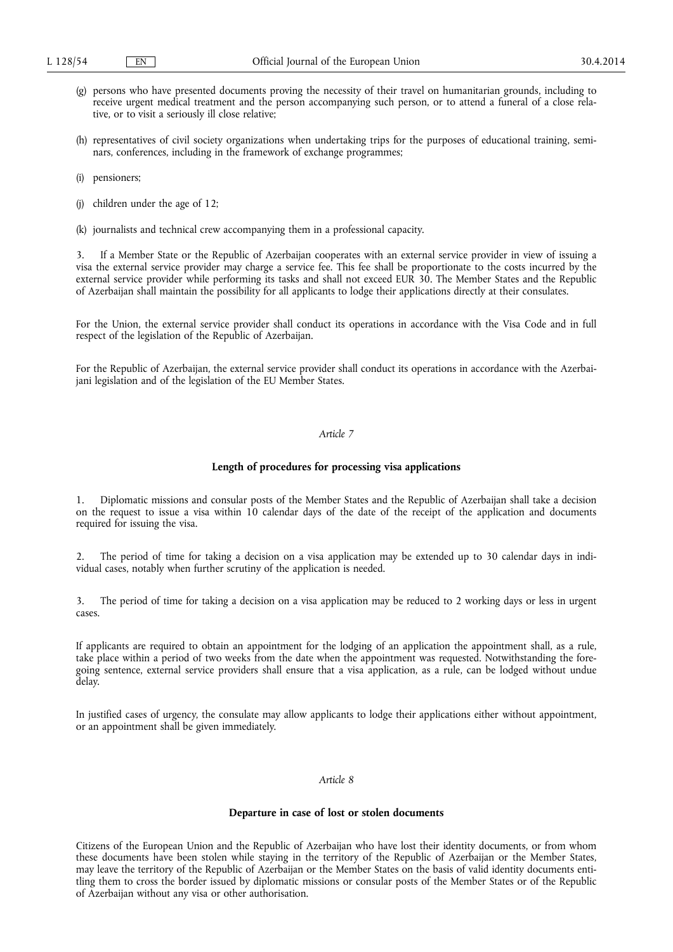- (g) persons who have presented documents proving the necessity of their travel on humanitarian grounds, including to receive urgent medical treatment and the person accompanying such person, or to attend a funeral of a close relative, or to visit a seriously ill close relative;
- (h) representatives of civil society organizations when undertaking trips for the purposes of educational training, seminars, conferences, including in the framework of exchange programmes;
- (i) pensioners;
- (j) children under the age of 12;
- (k) journalists and technical crew accompanying them in a professional capacity.

3. If a Member State or the Republic of Azerbaijan cooperates with an external service provider in view of issuing a visa the external service provider may charge a service fee. This fee shall be proportionate to the costs incurred by the external service provider while performing its tasks and shall not exceed EUR 30. The Member States and the Republic of Azerbaijan shall maintain the possibility for all applicants to lodge their applications directly at their consulates.

For the Union, the external service provider shall conduct its operations in accordance with the Visa Code and in full respect of the legislation of the Republic of Azerbaijan.

For the Republic of Azerbaijan, the external service provider shall conduct its operations in accordance with the Azerbaijani legislation and of the legislation of the EU Member States.

### *Article 7*

### **Length of procedures for processing visa applications**

1. Diplomatic missions and consular posts of the Member States and the Republic of Azerbaijan shall take a decision on the request to issue a visa within 10 calendar days of the date of the receipt of the application and documents required for issuing the visa.

2. The period of time for taking a decision on a visa application may be extended up to 30 calendar days in individual cases, notably when further scrutiny of the application is needed.

3. The period of time for taking a decision on a visa application may be reduced to 2 working days or less in urgent cases.

If applicants are required to obtain an appointment for the lodging of an application the appointment shall, as a rule, take place within a period of two weeks from the date when the appointment was requested. Notwithstanding the foregoing sentence, external service providers shall ensure that a visa application, as a rule, can be lodged without undue delay.

In justified cases of urgency, the consulate may allow applicants to lodge their applications either without appointment, or an appointment shall be given immediately.

#### *Article 8*

#### **Departure in case of lost or stolen documents**

Citizens of the European Union and the Republic of Azerbaijan who have lost their identity documents, or from whom these documents have been stolen while staying in the territory of the Republic of Azerbaijan or the Member States, may leave the territory of the Republic of Azerbaijan or the Member States on the basis of valid identity documents entitling them to cross the border issued by diplomatic missions or consular posts of the Member States or of the Republic of Azerbaijan without any visa or other authorisation.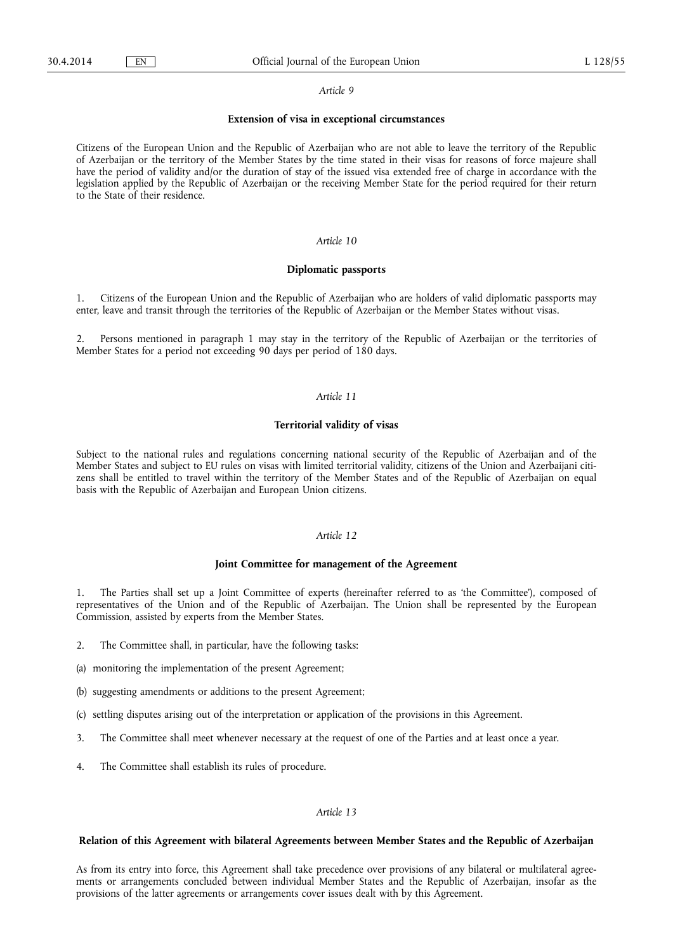#### *Article 9*

#### **Extension of visa in exceptional circumstances**

Citizens of the European Union and the Republic of Azerbaijan who are not able to leave the territory of the Republic of Azerbaijan or the territory of the Member States by the time stated in their visas for reasons of force majeure shall have the period of validity and/or the duration of stay of the issued visa extended free of charge in accordance with the legislation applied by the Republic of Azerbaijan or the receiving Member State for the period required for their return to the State of their residence.

# *Article 10*

### **Diplomatic passports**

1. Citizens of the European Union and the Republic of Azerbaijan who are holders of valid diplomatic passports may enter, leave and transit through the territories of the Republic of Azerbaijan or the Member States without visas.

2. Persons mentioned in paragraph 1 may stay in the territory of the Republic of Azerbaijan or the territories of Member States for a period not exceeding 90 days per period of 180 days.

## *Article 11*

## **Territorial validity of visas**

Subject to the national rules and regulations concerning national security of the Republic of Azerbaijan and of the Member States and subject to EU rules on visas with limited territorial validity, citizens of the Union and Azerbaijani citizens shall be entitled to travel within the territory of the Member States and of the Republic of Azerbaijan on equal basis with the Republic of Azerbaijan and European Union citizens.

### *Article 12*

### **Joint Committee for management of the Agreement**

1. The Parties shall set up a Joint Committee of experts (hereinafter referred to as 'the Committee'), composed of representatives of the Union and of the Republic of Azerbaijan. The Union shall be represented by the European Commission, assisted by experts from the Member States.

- 2. The Committee shall, in particular, have the following tasks:
- (a) monitoring the implementation of the present Agreement;
- (b) suggesting amendments or additions to the present Agreement;
- (c) settling disputes arising out of the interpretation or application of the provisions in this Agreement.
- 3. The Committee shall meet whenever necessary at the request of one of the Parties and at least once a year.
- 4. The Committee shall establish its rules of procedure.

### *Article 13*

#### **Relation of this Agreement with bilateral Agreements between Member States and the Republic of Azerbaijan**

As from its entry into force, this Agreement shall take precedence over provisions of any bilateral or multilateral agreements or arrangements concluded between individual Member States and the Republic of Azerbaijan, insofar as the provisions of the latter agreements or arrangements cover issues dealt with by this Agreement.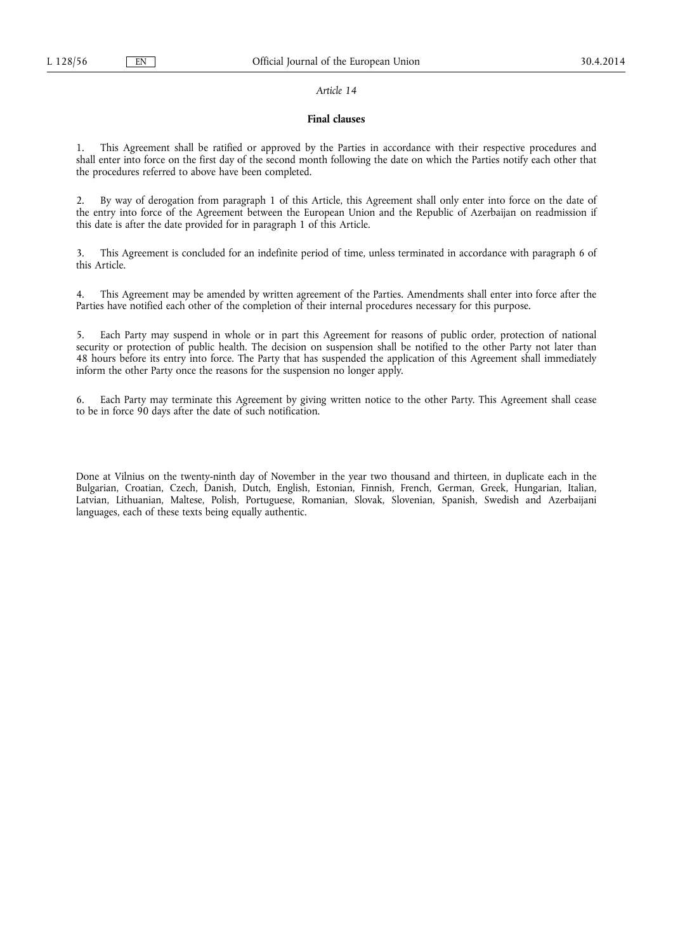### *Article 14*

### **Final clauses**

1. This Agreement shall be ratified or approved by the Parties in accordance with their respective procedures and shall enter into force on the first day of the second month following the date on which the Parties notify each other that the procedures referred to above have been completed.

2. By way of derogation from paragraph 1 of this Article, this Agreement shall only enter into force on the date of the entry into force of the Agreement between the European Union and the Republic of Azerbaijan on readmission if this date is after the date provided for in paragraph 1 of this Article.

3. This Agreement is concluded for an indefinite period of time, unless terminated in accordance with paragraph 6 of this Article.

4. This Agreement may be amended by written agreement of the Parties. Amendments shall enter into force after the Parties have notified each other of the completion of their internal procedures necessary for this purpose.

5. Each Party may suspend in whole or in part this Agreement for reasons of public order, protection of national security or protection of public health. The decision on suspension shall be notified to the other Party not later than 48 hours before its entry into force. The Party that has suspended the application of this Agreement shall immediately inform the other Party once the reasons for the suspension no longer apply.

6. Each Party may terminate this Agreement by giving written notice to the other Party. This Agreement shall cease to be in force 90 days after the date of such notification.

Done at Vilnius on the twenty-ninth day of November in the year two thousand and thirteen, in duplicate each in the Bulgarian, Croatian, Czech, Danish, Dutch, English, Estonian, Finnish, French, German, Greek, Hungarian, Italian, Latvian, Lithuanian, Maltese, Polish, Portuguese, Romanian, Slovak, Slovenian, Spanish, Swedish and Azerbaijani languages, each of these texts being equally authentic.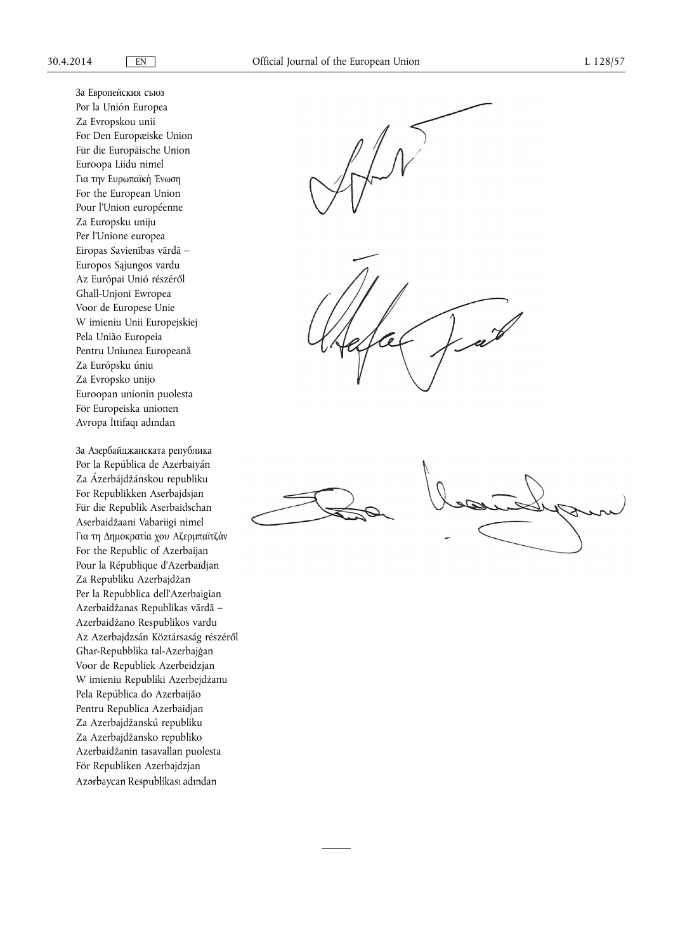За Европейския съюз Рог la Unión Europea Za Evropskou unii For Den Europæiske Union Für die Europäische Union Euroopa Liidu nimel Για την Ευρωπαϊκή Ένωση For the European Union Pour l'Union européenne Za Europsku uniju Per l'Unione europea Eiropas Savienības vārdā – Europos Sąjungos vardu Az Európai Unió részéről Għall-Unjoni Ewropea Voor de Europese Unie W imieniu Unii Europejskiej Pela União Europeia Pentru Uniunea Europeană Za Európsku úniu Za Evropsko unijo Euroopan unionin puolesta För Europeiska unionen Avropa İttifaqı adından

За Азербайджанската република Por la República de Azerbaiyán Za Ázerbájdžánskou republiku For Republikken Aserbajdsjan Für die Republik Aserbaidschan Aserbaidžaani Vabariigi nimel Για τη Δημοκρατία χου Αζερμπαϊτζάν For the Republic of Azerbaijan Pour la République d'Azerbaïdjan Za Republiku Azerbajdžan Per la Repubblica dell'Azerbaigian Azerbaidžanas Republikas vārdā – Azerbaidžano Respublikos vardu Az Azerbajdzsán Köztársaság részéről Għar-Repubblika tal-Azerbajģan Voor de Republiek Azerbeidzjan W imieniu Republiki Azerbejdżanu Pela República do Azerbaijāo Pentru Republica Azerbaidjan Za Azerbajdžanskú republiku Za Azerbajdžansko republiko Azerbaidžanin tasavallan puolesta För Republiken Azerbajdzjan Azərbaycan Respublikası adından



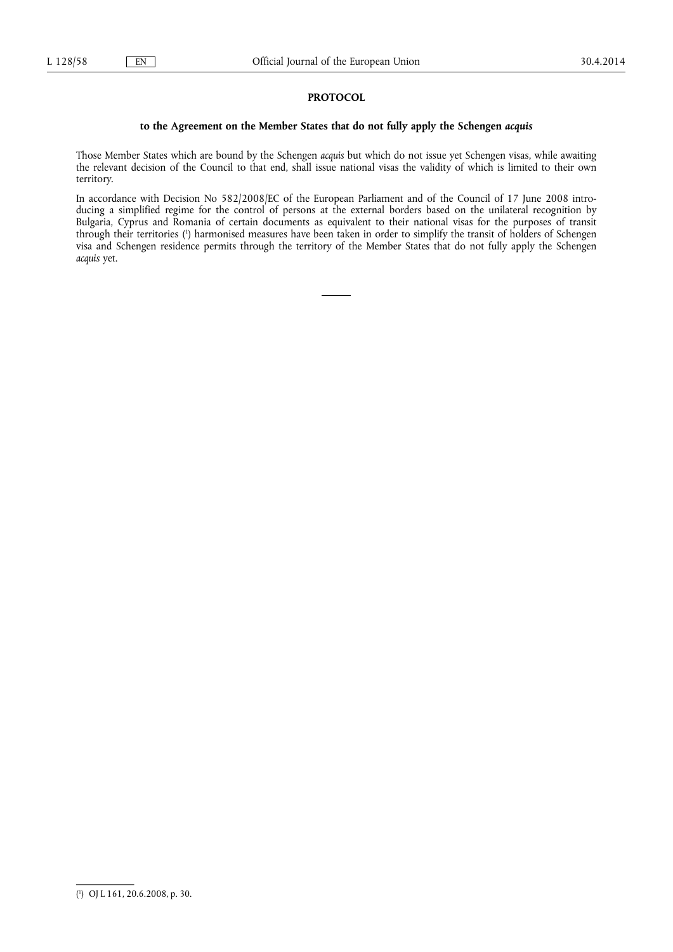## **PROTOCOL**

## **to the Agreement on the Member States that do not fully apply the Schengen** *acquis*

Those Member States which are bound by the Schengen *acquis* but which do not issue yet Schengen visas, while awaiting the relevant decision of the Council to that end, shall issue national visas the validity of which is limited to their own territory.

In accordance with Decision No 582/2008/EC of the European Parliament and of the Council of 17 June 2008 introducing a simplified regime for the control of persons at the external borders based on the unilateral recognition by Bulgaria, Cyprus and Romania of certain documents as equivalent to their national visas for the purposes of transit through their territories ( 1 ) harmonised measures have been taken in order to simplify the transit of holders of Schengen visa and Schengen residence permits through the territory of the Member States that do not fully apply the Schengen *acquis* yet.

<sup>(</sup> 1 ) OJ L 161, 20.6.2008, p. 30.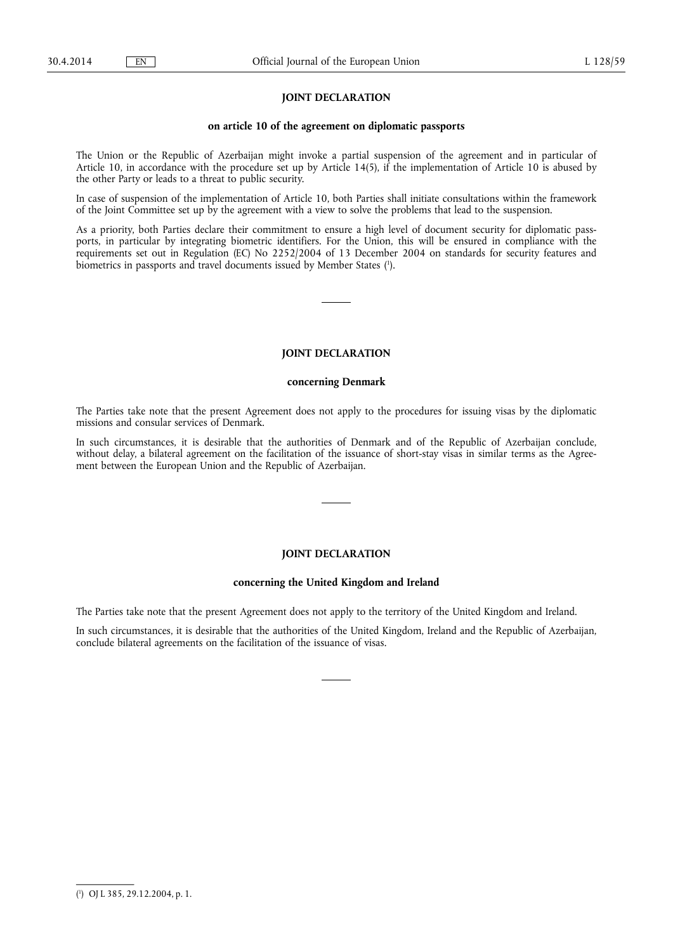## **JOINT DECLARATION**

#### **on article 10 of the agreement on diplomatic passports**

The Union or the Republic of Azerbaijan might invoke a partial suspension of the agreement and in particular of Article 10, in accordance with the procedure set up by Article 14(5), if the implementation of Article 10 is abused by the other Party or leads to a threat to public security.

In case of suspension of the implementation of Article 10, both Parties shall initiate consultations within the framework of the Joint Committee set up by the agreement with a view to solve the problems that lead to the suspension.

As a priority, both Parties declare their commitment to ensure a high level of document security for diplomatic passports, in particular by integrating biometric identifiers. For the Union, this will be ensured in compliance with the requirements set out in Regulation (EC) No 2252/2004 of 13 December 2004 on standards for security features and biometrics in passports and travel documents issued by Member States ( 1 ).

# **JOINT DECLARATION**

#### **concerning Denmark**

The Parties take note that the present Agreement does not apply to the procedures for issuing visas by the diplomatic missions and consular services of Denmark.

In such circumstances, it is desirable that the authorities of Denmark and of the Republic of Azerbaijan conclude, without delay, a bilateral agreement on the facilitation of the issuance of short-stay visas in similar terms as the Agreement between the European Union and the Republic of Azerbaijan.

## **JOINT DECLARATION**

#### **concerning the United Kingdom and Ireland**

The Parties take note that the present Agreement does not apply to the territory of the United Kingdom and Ireland.

In such circumstances, it is desirable that the authorities of the United Kingdom, Ireland and the Republic of Azerbaijan, conclude bilateral agreements on the facilitation of the issuance of visas.

<sup>(</sup> 1 ) OJ L 385, 29.12.2004, p. 1.